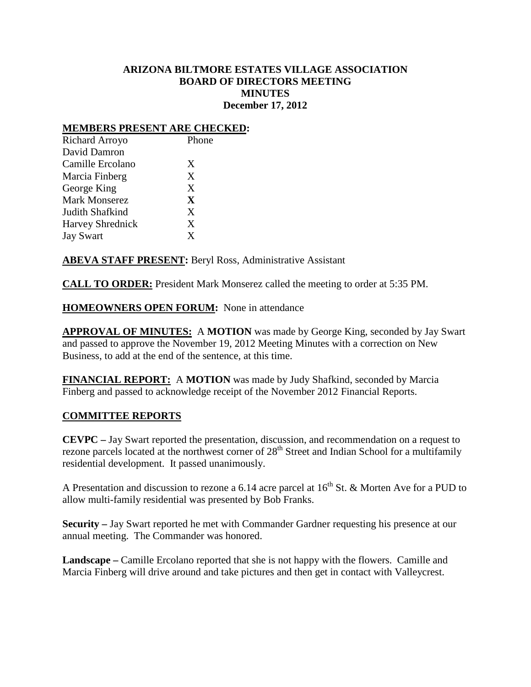## **ARIZONA BILTMORE ESTATES VILLAGE ASSOCIATION BOARD OF DIRECTORS MEETING MINUTES December 17, 2012**

#### **MEMBERS PRESENT ARE CHECKED:**

| <b>Richard Arroyo</b>   | Phone |
|-------------------------|-------|
| David Damron            |       |
| Camille Ercolano        | X     |
| Marcia Finberg          | X     |
| George King             | X     |
| <b>Mark Monserez</b>    | X     |
| Judith Shafkind         | X     |
| <b>Harvey Shrednick</b> | X     |
| <b>Jay Swart</b>        | X     |
|                         |       |

**ABEVA STAFF PRESENT:** Beryl Ross, Administrative Assistant

**CALL TO ORDER:** President Mark Monserez called the meeting to order at 5:35 PM.

**HOMEOWNERS OPEN FORUM:** None in attendance

**APPROVAL OF MINUTES:** A **MOTION** was made by George King, seconded by Jay Swart and passed to approve the November 19, 2012 Meeting Minutes with a correction on New Business, to add at the end of the sentence, at this time.

**FINANCIAL REPORT:** A **MOTION** was made by Judy Shafkind, seconded by Marcia Finberg and passed to acknowledge receipt of the November 2012 Financial Reports.

### **COMMITTEE REPORTS**

**CEVPC –** Jay Swart reported the presentation, discussion, and recommendation on a request to rezone parcels located at the northwest corner of 28<sup>th</sup> Street and Indian School for a multifamily residential development. It passed unanimously.

A Presentation and discussion to rezone a 6.14 acre parcel at  $16<sup>th</sup>$  St. & Morten Ave for a PUD to allow multi-family residential was presented by Bob Franks.

**Security –** Jay Swart reported he met with Commander Gardner requesting his presence at our annual meeting. The Commander was honored.

**Landscape –** Camille Ercolano reported that she is not happy with the flowers. Camille and Marcia Finberg will drive around and take pictures and then get in contact with Valleycrest.